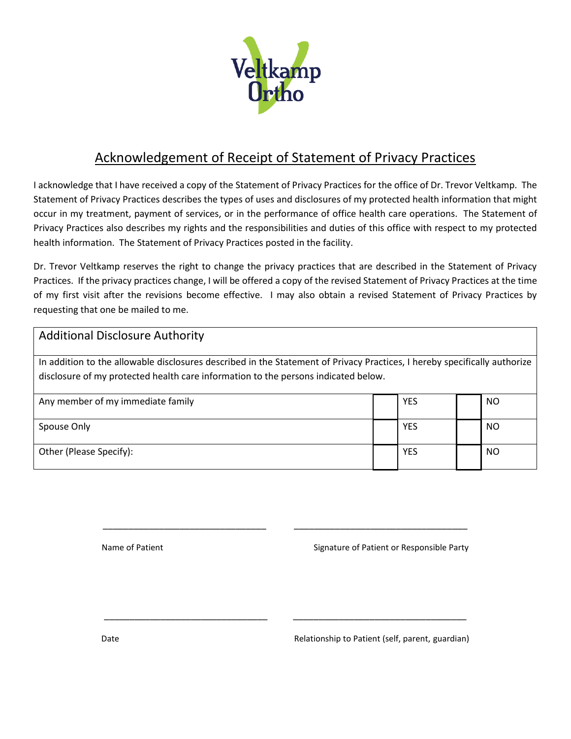

## Acknowledgement of Receipt of Statement of Privacy Practices

I acknowledge that I have received a copy of the Statement of Privacy Practices for the office of Dr. Trevor Veltkamp. The Statement of Privacy Practices describes the types of uses and disclosures of my protected health information that might occur in my treatment, payment of services, or in the performance of office health care operations. The Statement of Privacy Practices also describes my rights and the responsibilities and duties of this office with respect to my protected health information. The Statement of Privacy Practices posted in the facility.

Dr. Trevor Veltkamp reserves the right to change the privacy practices that are described in the Statement of Privacy Practices. If the privacy practices change, I will be offered a copy of the revised Statement of Privacy Practices at the time of my first visit after the revisions become effective. I may also obtain a revised Statement of Privacy Practices by requesting that one be mailed to me.

| <b>Additional Disclosure Authority</b>                                                                                                                                                                          |  |            |  |           |  |  |  |
|-----------------------------------------------------------------------------------------------------------------------------------------------------------------------------------------------------------------|--|------------|--|-----------|--|--|--|
| In addition to the allowable disclosures described in the Statement of Privacy Practices, I hereby specifically authorize<br>disclosure of my protected health care information to the persons indicated below. |  |            |  |           |  |  |  |
| Any member of my immediate family                                                                                                                                                                               |  | YES        |  | NO        |  |  |  |
| Spouse Only                                                                                                                                                                                                     |  | <b>YES</b> |  | <b>NO</b> |  |  |  |
| Other (Please Specify):                                                                                                                                                                                         |  | YES        |  | NO        |  |  |  |

\_\_\_\_\_\_\_\_\_\_\_\_\_\_\_\_\_\_\_\_\_\_\_\_\_\_\_\_\_\_\_\_ \_\_\_\_\_\_\_\_\_\_\_\_\_\_\_\_\_\_\_\_\_\_\_\_\_\_\_\_\_\_\_\_\_\_

\_\_\_\_\_\_\_\_\_\_\_\_\_\_\_\_\_\_\_\_\_\_\_\_\_\_\_\_\_\_\_\_ \_\_\_\_\_\_\_\_\_\_\_\_\_\_\_\_\_\_\_\_\_\_\_\_\_\_\_\_\_\_\_\_\_\_

Name of Patient  $\blacksquare$  Name of Patient or Responsible Party

Date **Dationship to Patient (self, parent, guardian)** Relationship to Patient (self, parent, guardian)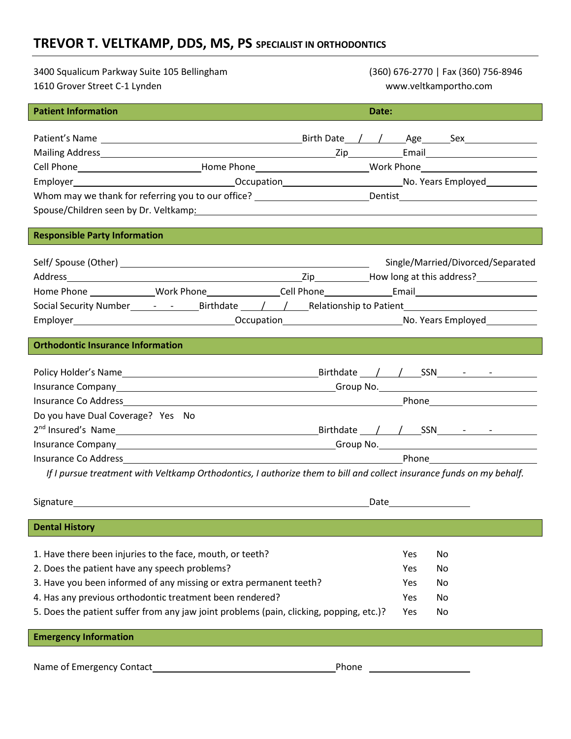## **TREVOR T. VELTKAMP, DDS, MS, PS SPECIALIST IN ORTHODONTICS**

| 3400 Squalicum Parkway Suite 105 Bellingham                                                                                                                                                                                                                                                                                                            | (360) 676-2770   Fax (360) 756-8946 |  |  |  |  |  |  |  |
|--------------------------------------------------------------------------------------------------------------------------------------------------------------------------------------------------------------------------------------------------------------------------------------------------------------------------------------------------------|-------------------------------------|--|--|--|--|--|--|--|
| 1610 Grover Street C-1 Lynden                                                                                                                                                                                                                                                                                                                          | www.veltkamportho.com               |  |  |  |  |  |  |  |
| <b>Patient Information</b>                                                                                                                                                                                                                                                                                                                             | Date:                               |  |  |  |  |  |  |  |
|                                                                                                                                                                                                                                                                                                                                                        |                                     |  |  |  |  |  |  |  |
|                                                                                                                                                                                                                                                                                                                                                        |                                     |  |  |  |  |  |  |  |
|                                                                                                                                                                                                                                                                                                                                                        |                                     |  |  |  |  |  |  |  |
| Cell Phone________________________________Home Phone____________________________Work Phone____________________                                                                                                                                                                                                                                         |                                     |  |  |  |  |  |  |  |
|                                                                                                                                                                                                                                                                                                                                                        |                                     |  |  |  |  |  |  |  |
| Whom may we thank for referring you to our office? _________________________Dentist___________________________                                                                                                                                                                                                                                         |                                     |  |  |  |  |  |  |  |
| Spouse/Children seen by Dr. Veltkamp: Manual Children Content Content Children Seen by Dr. Veltkamp:                                                                                                                                                                                                                                                   |                                     |  |  |  |  |  |  |  |
|                                                                                                                                                                                                                                                                                                                                                        |                                     |  |  |  |  |  |  |  |
| <b>Responsible Party Information</b>                                                                                                                                                                                                                                                                                                                   |                                     |  |  |  |  |  |  |  |
|                                                                                                                                                                                                                                                                                                                                                        | Single/Married/Divorced/Separated   |  |  |  |  |  |  |  |
|                                                                                                                                                                                                                                                                                                                                                        |                                     |  |  |  |  |  |  |  |
|                                                                                                                                                                                                                                                                                                                                                        |                                     |  |  |  |  |  |  |  |
|                                                                                                                                                                                                                                                                                                                                                        |                                     |  |  |  |  |  |  |  |
|                                                                                                                                                                                                                                                                                                                                                        |                                     |  |  |  |  |  |  |  |
|                                                                                                                                                                                                                                                                                                                                                        |                                     |  |  |  |  |  |  |  |
| <b>Orthodontic Insurance Information</b>                                                                                                                                                                                                                                                                                                               |                                     |  |  |  |  |  |  |  |
|                                                                                                                                                                                                                                                                                                                                                        |                                     |  |  |  |  |  |  |  |
|                                                                                                                                                                                                                                                                                                                                                        |                                     |  |  |  |  |  |  |  |
|                                                                                                                                                                                                                                                                                                                                                        |                                     |  |  |  |  |  |  |  |
|                                                                                                                                                                                                                                                                                                                                                        |                                     |  |  |  |  |  |  |  |
| Do you have Dual Coverage? Yes No                                                                                                                                                                                                                                                                                                                      |                                     |  |  |  |  |  |  |  |
| 2 <sup>nd</sup> Insured's Name 2010 10 Name 2010 10 Name 2010 10 Name 2010 10 Name 2010 10 Name 2010 10 Name 2010 10 Name 2010 10 Name 2010 10 Name 2010 10 Name 2010 10 Name 2010 10 Name 2010 10 Name 2010 10 Name 2010 10 Name 2010 1                                                                                                               |                                     |  |  |  |  |  |  |  |
|                                                                                                                                                                                                                                                                                                                                                        |                                     |  |  |  |  |  |  |  |
| Insurance Co Address and the contract of the contract of the contract of the contract of the contract of the contract of the contract of the contract of the contract of the contract of the contract of the contract of the c<br>If I pursue treatment with Veltkamp Orthodontics, I authorize them to bill and collect insurance funds on my behalf. |                                     |  |  |  |  |  |  |  |
|                                                                                                                                                                                                                                                                                                                                                        |                                     |  |  |  |  |  |  |  |
| Signature                                                                                                                                                                                                                                                                                                                                              | Date                                |  |  |  |  |  |  |  |
|                                                                                                                                                                                                                                                                                                                                                        |                                     |  |  |  |  |  |  |  |
| <b>Dental History</b>                                                                                                                                                                                                                                                                                                                                  |                                     |  |  |  |  |  |  |  |
|                                                                                                                                                                                                                                                                                                                                                        |                                     |  |  |  |  |  |  |  |
| 1. Have there been injuries to the face, mouth, or teeth?                                                                                                                                                                                                                                                                                              | <b>Yes</b><br>No                    |  |  |  |  |  |  |  |
| 2. Does the patient have any speech problems?                                                                                                                                                                                                                                                                                                          | Yes<br>No                           |  |  |  |  |  |  |  |
| 3. Have you been informed of any missing or extra permanent teeth?                                                                                                                                                                                                                                                                                     | Yes.<br>No                          |  |  |  |  |  |  |  |
| 4. Has any previous orthodontic treatment been rendered?                                                                                                                                                                                                                                                                                               | No<br>Yes                           |  |  |  |  |  |  |  |
| 5. Does the patient suffer from any jaw joint problems (pain, clicking, popping, etc.)?                                                                                                                                                                                                                                                                | Yes<br>No                           |  |  |  |  |  |  |  |
| <b>Emergency Information</b>                                                                                                                                                                                                                                                                                                                           |                                     |  |  |  |  |  |  |  |
|                                                                                                                                                                                                                                                                                                                                                        |                                     |  |  |  |  |  |  |  |
| Name of Emergency Contact                                                                                                                                                                                                                                                                                                                              | Phone <u>____________</u>           |  |  |  |  |  |  |  |
|                                                                                                                                                                                                                                                                                                                                                        |                                     |  |  |  |  |  |  |  |